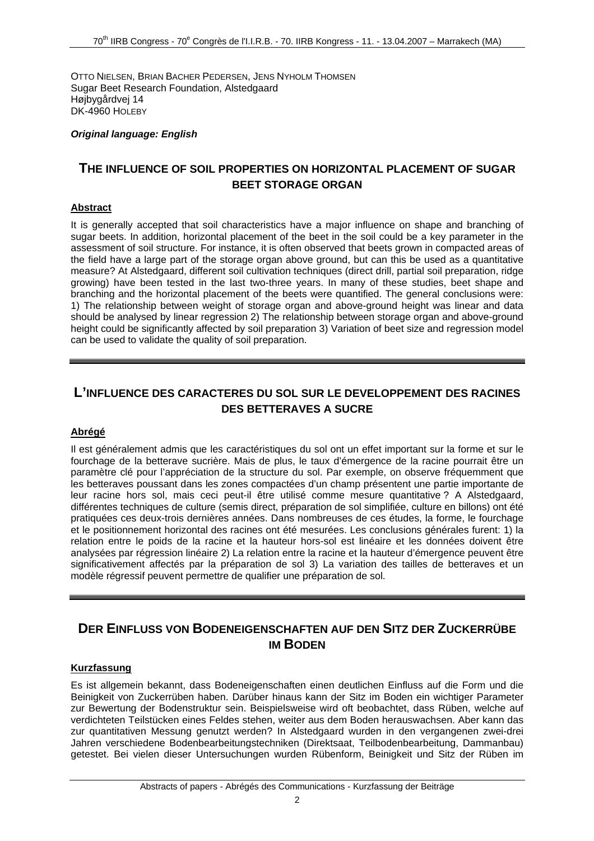OTTO NIELSEN, BRIAN BACHER PEDERSEN, JENS NYHOLM THOMSEN Sugar Beet Research Foundation, Alstedgaard Højbygårdvej 14 DK-4960 HOLEBY

## *Original language: English*

## **THE INFLUENCE OF SOIL PROPERTIES ON HORIZONTAL PLACEMENT OF SUGAR BEET STORAGE ORGAN**

## **Abstract**

It is generally accepted that soil characteristics have a major influence on shape and branching of sugar beets. In addition, horizontal placement of the beet in the soil could be a key parameter in the assessment of soil structure. For instance, it is often observed that beets grown in compacted areas of the field have a large part of the storage organ above ground, but can this be used as a quantitative measure? At Alstedgaard, different soil cultivation techniques (direct drill, partial soil preparation, ridge growing) have been tested in the last two-three years. In many of these studies, beet shape and branching and the horizontal placement of the beets were quantified. The general conclusions were: 1) The relationship between weight of storage organ and above-ground height was linear and data should be analysed by linear regression 2) The relationship between storage organ and above-ground height could be significantly affected by soil preparation 3) Variation of beet size and regression model can be used to validate the quality of soil preparation.

# **L'INFLUENCE DES CARACTERES DU SOL SUR LE DEVELOPPEMENT DES RACINES DES BETTERAVES A SUCRE**

### **Abrégé**

Il est généralement admis que les caractéristiques du sol ont un effet important sur la forme et sur le fourchage de la betterave sucrière. Mais de plus, le taux d'émergence de la racine pourrait être un paramètre clé pour l'appréciation de la structure du sol. Par exemple, on observe fréquemment que les betteraves poussant dans les zones compactées d'un champ présentent une partie importante de leur racine hors sol, mais ceci peut-il être utilisé comme mesure quantitative ? A Alstedgaard, différentes techniques de culture (semis direct, préparation de sol simplifiée, culture en billons) ont été pratiquées ces deux-trois dernières années. Dans nombreuses de ces études, la forme, le fourchage et le positionnement horizontal des racines ont été mesurées. Les conclusions générales furent: 1) la relation entre le poids de la racine et la hauteur hors-sol est linéaire et les données doivent être analysées par régression linéaire 2) La relation entre la racine et la hauteur d'émergence peuvent être significativement affectés par la préparation de sol 3) La variation des tailles de betteraves et un modèle régressif peuvent permettre de qualifier une préparation de sol.

# **DER EINFLUSS VON BODENEIGENSCHAFTEN AUF DEN SITZ DER ZUCKERRÜBE IM BODEN**

#### **Kurzfassung**

Es ist allgemein bekannt, dass Bodeneigenschaften einen deutlichen Einfluss auf die Form und die Beinigkeit von Zuckerrüben haben. Darüber hinaus kann der Sitz im Boden ein wichtiger Parameter zur Bewertung der Bodenstruktur sein. Beispielsweise wird oft beobachtet, dass Rüben, welche auf verdichteten Teilstücken eines Feldes stehen, weiter aus dem Boden herauswachsen. Aber kann das zur quantitativen Messung genutzt werden? In Alstedgaard wurden in den vergangenen zwei-drei Jahren verschiedene Bodenbearbeitungstechniken (Direktsaat, Teilbodenbearbeitung, Dammanbau) getestet. Bei vielen dieser Untersuchungen wurden Rübenform, Beinigkeit und Sitz der Rüben im